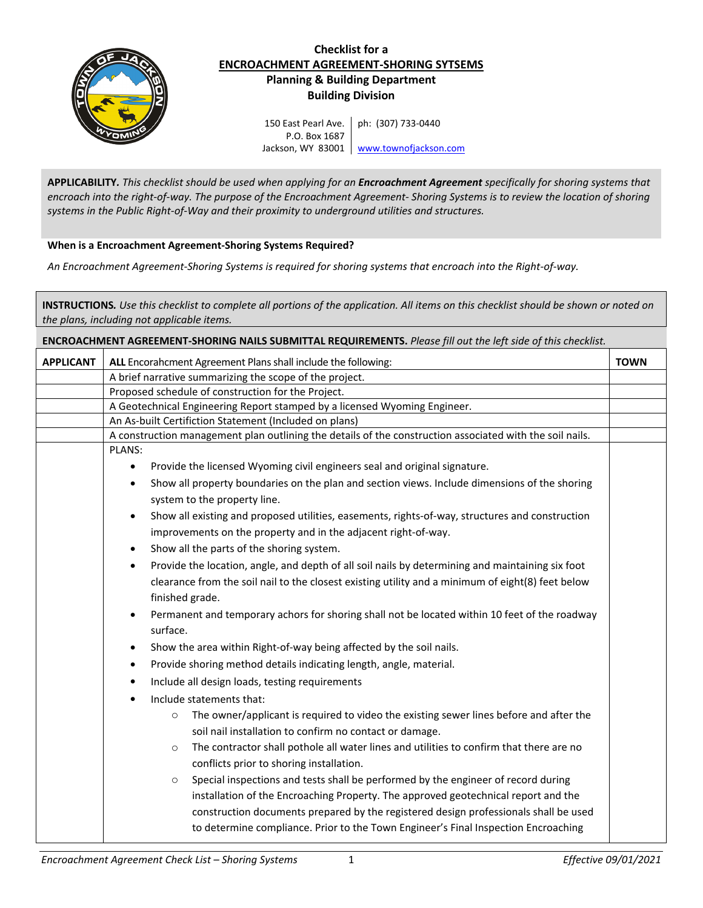

## **Checklist for a ENCROACHMENT AGREEMENT-SHORING SYTSEMS Planning & Building Department Building Division**

150 East Pearl Ave. P.O. Box 1687 Jackson, WY 83001 | [www.townofjackson.com](http://www.townofjackson.com/) ph: (307) 733-0440

**APPLICABILITY***. This checklist should be used when applying for an Encroachment Agreement specifically for shoring systems that encroach into the right-of-way. The purpose of the Encroachment Agreement- Shoring Systems is to review the location of shoring systems in the Public Right-of-Way and their proximity to underground utilities and structures.*

## **When is a Encroachment Agreement-Shoring Systems Required?**

*An Encroachment Agreement-Shoring Systems is required for shoring systems that encroach into the Right-of-way.* 

**INSTRUCTIONS***. Use this checklist to complete all portions of the application. All items on this checklist should be shown or noted on the plans, including not applicable items.* 

**ENCROACHMENT AGREEMENT-SHORING NAILS SUBMITTAL REQUIREMENTS.** *Please fill out the left side of this checklist.* **APPLICANT** ALL Encorahcment Agreement Plans shall include the following: **TOWN TOWN** A brief narrative summarizing the scope of the project. Proposed schedule of construction for the Project. A Geotechnical Engineering Report stamped by a licensed Wyoming Engineer. An As-built Certifiction Statement (Included on plans) A construction management plan outlining the details of the construction associated with the soil nails. PLANS: Provide the licensed Wyoming civil engineers seal and original signature. Show all property boundaries on the plan and section views. Include dimensions of the shoring system to the property line. Show all existing and proposed utilities, easements, rights-of-way, structures and construction improvements on the property and in the adjacent right-of-way. Show all the parts of the shoring system. Provide the location, angle, and depth of all soil nails by determining and maintaining six foot clearance from the soil nail to the closest existing utility and a minimum of eight(8) feet below finished grade. Permanent and temporary achors for shoring shall not be located within 10 feet of the roadway surface. Show the area within Right-of-way being affected by the soil nails. Provide shoring method details indicating length, angle, material. Include all design loads, testing requirements Include statements that: o The owner/applicant is required to video the existing sewer lines before and after the soil nail installation to confirm no contact or damage. o The contractor shall pothole all water lines and utilities to confirm that there are no conflicts prior to shoring installation. o Special inspections and tests shall be performed by the engineer of record during installation of the Encroaching Property. The approved geotechnical report and the construction documents prepared by the registered design professionals shall be used to determine compliance. Prior to the Town Engineer's Final Inspection Encroaching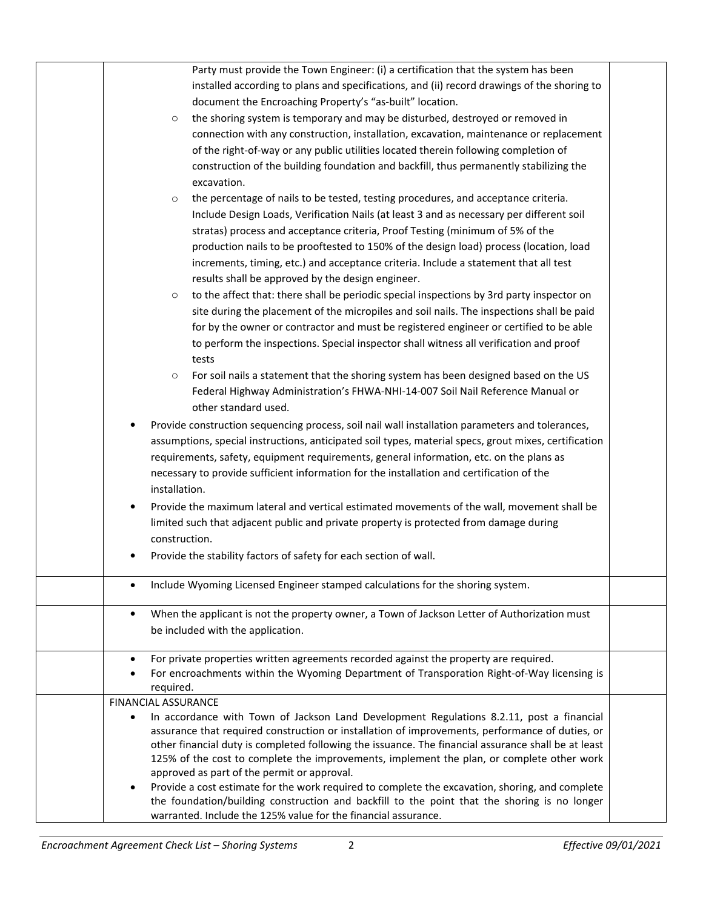| Party must provide the Town Engineer: (i) a certification that the system has been<br>installed according to plans and specifications, and (ii) record drawings of the shoring to<br>document the Encroaching Property's "as-built" location.<br>the shoring system is temporary and may be disturbed, destroyed or removed in<br>$\circ$<br>connection with any construction, installation, excavation, maintenance or replacement<br>of the right-of-way or any public utilities located therein following completion of<br>construction of the building foundation and backfill, thus permanently stabilizing the<br>excavation.<br>the percentage of nails to be tested, testing procedures, and acceptance criteria.<br>$\circ$<br>Include Design Loads, Verification Nails (at least 3 and as necessary per different soil<br>stratas) process and acceptance criteria, Proof Testing (minimum of 5% of the<br>production nails to be prooftested to 150% of the design load) process (location, load<br>increments, timing, etc.) and acceptance criteria. Include a statement that all test<br>results shall be approved by the design engineer.<br>to the affect that: there shall be periodic special inspections by 3rd party inspector on<br>$\circ$<br>site during the placement of the micropiles and soil nails. The inspections shall be paid<br>for by the owner or contractor and must be registered engineer or certified to be able<br>to perform the inspections. Special inspector shall witness all verification and proof<br>tests<br>For soil nails a statement that the shoring system has been designed based on the US<br>$\circ$<br>Federal Highway Administration's FHWA-NHI-14-007 Soil Nail Reference Manual or<br>other standard used.<br>Provide construction sequencing process, soil nail wall installation parameters and tolerances,<br>$\bullet$<br>assumptions, special instructions, anticipated soil types, material specs, grout mixes, certification<br>requirements, safety, equipment requirements, general information, etc. on the plans as |  |
|---------------------------------------------------------------------------------------------------------------------------------------------------------------------------------------------------------------------------------------------------------------------------------------------------------------------------------------------------------------------------------------------------------------------------------------------------------------------------------------------------------------------------------------------------------------------------------------------------------------------------------------------------------------------------------------------------------------------------------------------------------------------------------------------------------------------------------------------------------------------------------------------------------------------------------------------------------------------------------------------------------------------------------------------------------------------------------------------------------------------------------------------------------------------------------------------------------------------------------------------------------------------------------------------------------------------------------------------------------------------------------------------------------------------------------------------------------------------------------------------------------------------------------------------------------------------------------------------------------------------------------------------------------------------------------------------------------------------------------------------------------------------------------------------------------------------------------------------------------------------------------------------------------------------------------------------------------------------------------------------------------------------------------------------------------------------------------------------|--|
| necessary to provide sufficient information for the installation and certification of the<br>installation.                                                                                                                                                                                                                                                                                                                                                                                                                                                                                                                                                                                                                                                                                                                                                                                                                                                                                                                                                                                                                                                                                                                                                                                                                                                                                                                                                                                                                                                                                                                                                                                                                                                                                                                                                                                                                                                                                                                                                                                  |  |
| Provide the maximum lateral and vertical estimated movements of the wall, movement shall be<br>$\bullet$<br>limited such that adjacent public and private property is protected from damage during<br>construction.                                                                                                                                                                                                                                                                                                                                                                                                                                                                                                                                                                                                                                                                                                                                                                                                                                                                                                                                                                                                                                                                                                                                                                                                                                                                                                                                                                                                                                                                                                                                                                                                                                                                                                                                                                                                                                                                         |  |
| Provide the stability factors of safety for each section of wall.                                                                                                                                                                                                                                                                                                                                                                                                                                                                                                                                                                                                                                                                                                                                                                                                                                                                                                                                                                                                                                                                                                                                                                                                                                                                                                                                                                                                                                                                                                                                                                                                                                                                                                                                                                                                                                                                                                                                                                                                                           |  |
| Include Wyoming Licensed Engineer stamped calculations for the shoring system.<br>$\bullet$                                                                                                                                                                                                                                                                                                                                                                                                                                                                                                                                                                                                                                                                                                                                                                                                                                                                                                                                                                                                                                                                                                                                                                                                                                                                                                                                                                                                                                                                                                                                                                                                                                                                                                                                                                                                                                                                                                                                                                                                 |  |
| When the applicant is not the property owner, a Town of Jackson Letter of Authorization must<br>$\bullet$<br>be included with the application.                                                                                                                                                                                                                                                                                                                                                                                                                                                                                                                                                                                                                                                                                                                                                                                                                                                                                                                                                                                                                                                                                                                                                                                                                                                                                                                                                                                                                                                                                                                                                                                                                                                                                                                                                                                                                                                                                                                                              |  |
| For private properties written agreements recorded against the property are required.<br>٠<br>For encroachments within the Wyoming Department of Transporation Right-of-Way licensing is<br>required.                                                                                                                                                                                                                                                                                                                                                                                                                                                                                                                                                                                                                                                                                                                                                                                                                                                                                                                                                                                                                                                                                                                                                                                                                                                                                                                                                                                                                                                                                                                                                                                                                                                                                                                                                                                                                                                                                       |  |
| <b>FINANCIAL ASSURANCE</b><br>In accordance with Town of Jackson Land Development Regulations 8.2.11, post a financial<br>$\bullet$<br>assurance that required construction or installation of improvements, performance of duties, or<br>other financial duty is completed following the issuance. The financial assurance shall be at least<br>125% of the cost to complete the improvements, implement the plan, or complete other work<br>approved as part of the permit or approval.<br>Provide a cost estimate for the work required to complete the excavation, shoring, and complete<br>$\bullet$<br>the foundation/building construction and backfill to the point that the shoring is no longer                                                                                                                                                                                                                                                                                                                                                                                                                                                                                                                                                                                                                                                                                                                                                                                                                                                                                                                                                                                                                                                                                                                                                                                                                                                                                                                                                                                   |  |
| warranted. Include the 125% value for the financial assurance.                                                                                                                                                                                                                                                                                                                                                                                                                                                                                                                                                                                                                                                                                                                                                                                                                                                                                                                                                                                                                                                                                                                                                                                                                                                                                                                                                                                                                                                                                                                                                                                                                                                                                                                                                                                                                                                                                                                                                                                                                              |  |